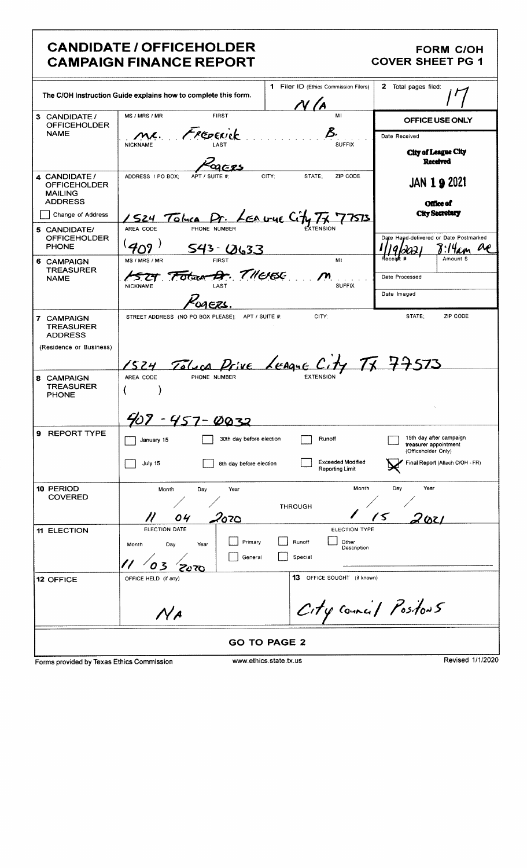|                                                                             | <b>CANDIDATE / OFFICEHOLDER</b><br><b>CAMPAIGN FINANCE REPORT</b>                                                                       | <b>FORM C/OH</b><br><b>COVER SHEET PG 1</b>                             |
|-----------------------------------------------------------------------------|-----------------------------------------------------------------------------------------------------------------------------------------|-------------------------------------------------------------------------|
|                                                                             | 1 Filer ID (Ethics Commission Filers)<br>The C/OH Instruction Guide explains how to complete this form.<br>/V / A                       | <b>2</b> Total pages filed:                                             |
| 3 CANDIDATE /<br><b>OFFICEHOLDER</b>                                        | MS / MRS / MR<br><b>FIRST</b><br>MI                                                                                                     | OFFICE USE ONLY                                                         |
| NAME                                                                        | PEDERICK<br><b>SUFFIX</b><br><b>NICKNAME</b><br>20E PS                                                                                  | Date Received<br>City of League City<br><b>Received</b>                 |
| 4 CANDIDATE /<br><b>OFFICEHOLDER</b><br><b>MAILING</b><br><b>ADDRESS</b>    | CITY:<br>ZIP CODE<br>ADDRESS / PO BOX;<br>STATE;<br>APT / SUITE #:                                                                      | <b>JAN 1 9 2021</b><br><b>Office of</b>                                 |
| Change of Address                                                           | S24 Toluca Pr. LEAU4E City TX<br><u>' 7573 </u>                                                                                         | <b>City Secretary</b>                                                   |
| 5 CANDIDATE/<br><b>OFFICEHOLDER</b><br><b>PHONE</b>                         | AREA CODE<br>PHONE NUMBER<br>EXTENSION<br><u>543- Q633</u>                                                                              | Date Hand-delivered or Date Postmarked<br>OP<br>14a                     |
| 6 CAMPAIGN<br><b>TREASURER</b><br><b>NAME</b>                               | MI<br>MS / MRS / MR<br><b>FIRST</b><br>1574 Fotar A. THERE<br>LAST<br><b>SUFFIX</b><br><b>NICKNAME</b>                                  | Amount \$<br>Receidi<br>Date Processed<br>Date Imaged                   |
| 7 CAMPAIGN<br><b>TREASURER</b><br><b>ADDRESS</b><br>(Residence or Business) | ,<br>0AERS.<br>CITY:<br>STREET ADDRESS (NO PO BOX PLEASE); APT / SUITE #:                                                               | STATE:<br>ZIP CODE                                                      |
|                                                                             | 1524 Tolaca Prive League City TX 77573                                                                                                  |                                                                         |
| 8 CAMPAIGN<br><b>TREASURER</b><br><b>PHONE</b>                              | AREA CODE<br>PHONE NUMBER<br><b>EXTENSION</b><br>$\mathcal{L}$                                                                          |                                                                         |
| 9<br><b>REPORT TYPE</b>                                                     | 409 - 457-0032<br>30th day before election<br>Runoff<br>January 15                                                                      | 15th day after campaign<br>treasurer appointment<br>(Officeholder Only) |
|                                                                             | <b>Exceeded Modified</b><br>July 15<br>8th day before election<br>Reporting Limit                                                       | Final Report (Attach C/OH - FR)                                         |
| 10 PERIOD<br><b>COVERED</b>                                                 | Month<br>Month<br>Day<br>Year<br><b>THROUGH</b><br>04<br>1070                                                                           | Year<br>Day<br>$^{\prime}$ 5 $\,$<br>ואש2                               |
| <b>11 ELECTION</b>                                                          | ELECTION DATE<br><b>ELECTION TYPE</b><br>Primary<br>Runoff<br>Other<br>Year<br>Month<br>Day<br>Description<br>General<br>Special<br>270 |                                                                         |
| 12 OFFICE                                                                   | 13 OFFICE SOUGHT (if known)<br>OFFICE HELD (if any)<br>City Council Poston5<br>$\mathcal N$ A                                           |                                                                         |
|                                                                             | <b>GO TO PAGE 2</b>                                                                                                                     |                                                                         |
| Forme provided by Texas Ethics Commission                                   | www.ethics.state.tx.us                                                                                                                  | Revised 1/1/2020                                                        |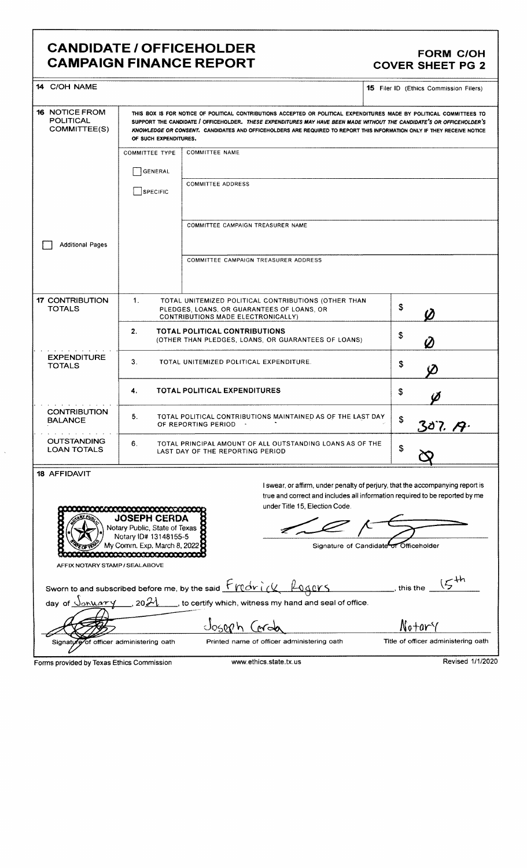# CANDIDATE / OFFICEHOLDER FORM C/OH CAMPAIGN FINANCE REPORT COVER SHEET PG 2

|                                                              |                                                                                                                                                                                                                                                                                                                                                                         |                                                                                                               | UUVER ƏNEEI PU Z                                                                                                                                                             |  |
|--------------------------------------------------------------|-------------------------------------------------------------------------------------------------------------------------------------------------------------------------------------------------------------------------------------------------------------------------------------------------------------------------------------------------------------------------|---------------------------------------------------------------------------------------------------------------|------------------------------------------------------------------------------------------------------------------------------------------------------------------------------|--|
| 14 C/OH NAME                                                 |                                                                                                                                                                                                                                                                                                                                                                         |                                                                                                               | <b>15</b> Filer ID (Ethics Commission Filers)                                                                                                                                |  |
| <b>16 NOTICE FROM</b><br><b>POLITICAL</b><br>COMMITTEE(S)    | THIS BOX IS FOR NOTICE OF POLITICAL CONTRIBUTIONS ACCEPTED OR POLITICAL EXPENDITURES MADE BY POLITICAL COMMITTEES TO<br>SUPPORT THE CANDIDATE / OFFICEHOLDER. THESE EXPENDITURES MAY HAVE BEEN MADE WITHOUT THE CANDIDATE'S OR OFFICEHOLDER'S<br>KNOWLEDGE OR CONSENT. CANDIDATES AND OFFICEHOLDERS ARE REQUIRED TO REPORT THIS INFORMATION ONLY IF THEY RECEIVE NOTICE |                                                                                                               |                                                                                                                                                                              |  |
|                                                              | <b>COMMITTEE TYPE</b>                                                                                                                                                                                                                                                                                                                                                   | <b>COMMITTEE NAME</b>                                                                                         |                                                                                                                                                                              |  |
|                                                              | GENERAL                                                                                                                                                                                                                                                                                                                                                                 |                                                                                                               |                                                                                                                                                                              |  |
|                                                              | $\Box$ SPECIFIC                                                                                                                                                                                                                                                                                                                                                         | <b>COMMITTEE ADDRESS</b>                                                                                      |                                                                                                                                                                              |  |
| COMMITTEE CAMPAIGN TREASURER NAME<br><b>Additional Pages</b> |                                                                                                                                                                                                                                                                                                                                                                         |                                                                                                               |                                                                                                                                                                              |  |
|                                                              |                                                                                                                                                                                                                                                                                                                                                                         | COMMITTEE CAMPAIGN TREASURER ADDRESS                                                                          |                                                                                                                                                                              |  |
| <b>17 CONTRIBUTION</b><br><b>TOTALS</b>                      | 1.<br>TOTAL UNITEMIZED POLITICAL CONTRIBUTIONS (OTHER THAN<br>PLEDGES, LOANS, OR GUARANTEES OF LOANS, OR<br><b>CONTRIBUTIONS MADE ELECTRONICALLY)</b>                                                                                                                                                                                                                   |                                                                                                               |                                                                                                                                                                              |  |
|                                                              | 2.                                                                                                                                                                                                                                                                                                                                                                      | <b>TOTAL POLITICAL CONTRIBUTIONS</b><br>(OTHER THAN PLEDGES, LOANS, OR GUARANTEES OF LOANS)                   | \$<br>$\boldsymbol{\varOmega}$                                                                                                                                               |  |
| <b>EXPENDITURE</b><br><b>TOTALS</b>                          | 3.<br>TOTAL UNITEMIZED POLITICAL EXPENDITURE.                                                                                                                                                                                                                                                                                                                           | \$                                                                                                            |                                                                                                                                                                              |  |
|                                                              | 4.                                                                                                                                                                                                                                                                                                                                                                      | TOTAL POLITICAL EXPENDITURES                                                                                  | \$                                                                                                                                                                           |  |
| <b>CONTRIBUTION</b><br><b>BALANCE</b>                        | 5.                                                                                                                                                                                                                                                                                                                                                                      | TOTAL POLITICAL CONTRIBUTIONS MAINTAINED AS OF THE LAST DAY<br>OF REPORTING PERIOD                            | \$<br>307.7                                                                                                                                                                  |  |
| <b>OUTSTANDING</b><br><b>LOAN TOTALS</b>                     | 6.                                                                                                                                                                                                                                                                                                                                                                      | TOTAL PRINCIPAL AMOUNT OF ALL OUTSTANDING LOANS AS OF THE<br>LAST DAY OF THE REPORTING PERIOD                 | \$                                                                                                                                                                           |  |
| 18 AFFIDAVIT                                                 | <b>JOSEPH CERDA</b><br>Notary Public, State of Texas<br>Notary ID# 13148155-5<br>My Comm. Exp. March 8, 2022<br>0000000000000000000000                                                                                                                                                                                                                                  | under Title 15, Election Code.<br>Signature of Candidate of                                                   | I swear, or affirm, under penalty of perjury, that the accompanying report is<br>true and correct and includes all information required to be reported by me<br>Officeholder |  |
| AFFIX NOTARY STAMP / SEALABOVE                               |                                                                                                                                                                                                                                                                                                                                                                         | Sworn to and subscribed before me, by the said $\frac{F_{V}dx_i}{\sqrt{2}}$ $\frac{\beta_{040}x_5}{\sqrt{2}}$ | _____________, this the __                                                                                                                                                   |  |
| day of Jonuary                                               | 2021                                                                                                                                                                                                                                                                                                                                                                    | to certify which, witness my hand and seal of office.                                                         |                                                                                                                                                                              |  |
|                                                              |                                                                                                                                                                                                                                                                                                                                                                         | Joseph Card                                                                                                   | Notary                                                                                                                                                                       |  |
| Signatyre of officer administering oath                      |                                                                                                                                                                                                                                                                                                                                                                         | Printed name of officer administering oath                                                                    | Title of officer administering oath                                                                                                                                          |  |

Forms provided by Texas Ethics Commission www.ethics.state.tx.us Revised 1/1/2020

 $\tilde{\mathcal{A}}$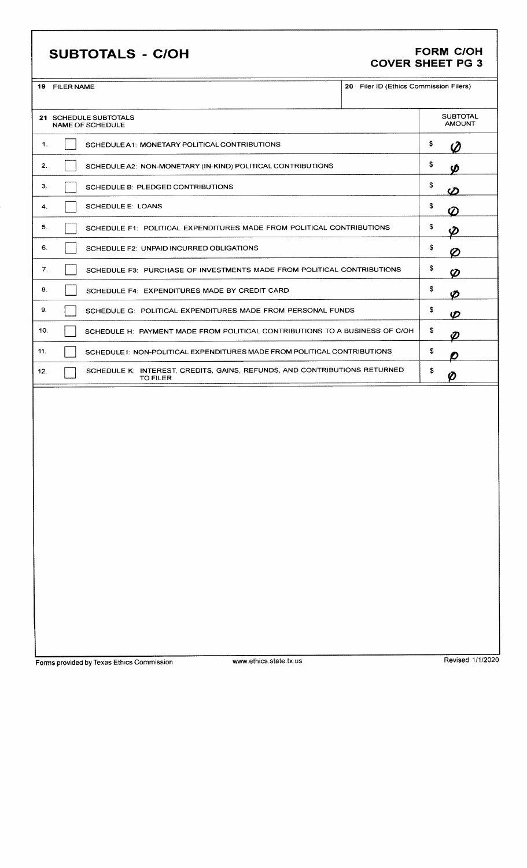# SUBTOTALS - C/OH FORM C/OH

# COVER SHEET PG 3

|     | 20 Filer ID (Ethics Commission Filers)<br><b>19 FILER NAME</b>                        |                                  |
|-----|---------------------------------------------------------------------------------------|----------------------------------|
|     | 21 SCHEDULE SUBTOTALS<br><b>NAME OF SCHEDULE</b>                                      | <b>SUBTOTAL</b><br><b>AMOUNT</b> |
| 1.  | SCHEDULE A1: MONETARY POLITICAL CONTRIBUTIONS                                         | \$<br>Ø                          |
| 2.  | SCHEDULE A2: NON-MONETARY (IN-KIND) POLITICAL CONTRIBUTIONS                           | \$<br>Ø                          |
| 3.  | <b>SCHEDULE B: PLEDGED CONTRIBUTIONS</b>                                              | \$<br>ပာ                         |
| 4.  | <b>SCHEDULE E: LOANS</b>                                                              | \$<br>Ø                          |
| 5.  | SCHEDULE F1: POLITICAL EXPENDITURES MADE FROM POLITICAL CONTRIBUTIONS                 | \$                               |
| 6.  | SCHEDULE F2: UNPAID INCURRED OBLIGATIONS                                              | \$<br>Ø                          |
| 7.  | SCHEDULE F3: PURCHASE OF INVESTMENTS MADE FROM POLITICAL CONTRIBUTIONS                | \$<br>Ø                          |
| 8.  | SCHEDULE F4: EXPENDITURES MADE BY CREDIT CARD                                         | \$<br>တ                          |
| 9.  | SCHEDULE G: POLITICAL EXPENDITURES MADE FROM PERSONAL FUNDS                           | \$<br>ဖာ                         |
| 10. | SCHEDULE H: PAYMENT MADE FROM POLITICAL CONTRIBUTIONS TO A BUSINESS OF C/OH           | \$<br>Ø                          |
| 11. | SCHEDULE I: NON-POLITICAL EXPENDITURES MADE FROM POLITICAL CONTRIBUTIONS              | \$                               |
| 12. | SCHEDULE K: INTEREST, CREDITS, GAINS, REFUNDS, AND CONTRIBUTIONS RETURNED<br>TO FILER | \$<br>Ø                          |
|     |                                                                                       |                                  |
|     |                                                                                       |                                  |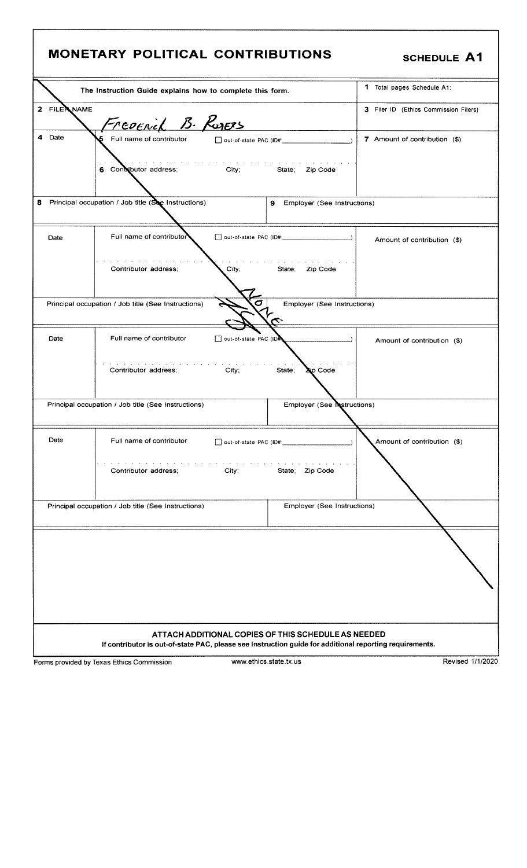|             | <b>MONETARY POLITICAL CONTRIBUTIONS</b>                                                                 |                       | <b>SCHEDULE A1</b>                                  |                               |
|-------------|---------------------------------------------------------------------------------------------------------|-----------------------|-----------------------------------------------------|-------------------------------|
|             | The Instruction Guide explains how to complete this form.                                               |                       |                                                     | 1 Total pages Schedule A1:    |
| 2 FILE NAME | Freeznick B. Rusers                                                                                     |                       | 3 Filer ID (Ethics Commission Filers)               |                               |
| 4 Date      | Full name of contributor<br>out-of-state PAC (ID#:                                                      |                       |                                                     | 7 Amount of contribution (\$) |
|             | 6 Contributor address;                                                                                  |                       | City; State; Zip Code                               |                               |
|             | 8 Principal occupation / Job title (See Instructions)                                                   |                       | 9 Employer (See Instructions)                       |                               |
| Date        | Full name of contributor                                                                                |                       |                                                     | Amount of contribution (\$)   |
|             | Contributor address:                                                                                    | City,                 | State; Zip Code                                     |                               |
|             | Principal occupation / Job title (See Instructions)                                                     | O                     | Employer (See Instructions)                         |                               |
| Date        | Full name of contributor                                                                                | out-of-state PAC (IDA |                                                     | Amount of contribution (\$)   |
|             | Contributor address;                                                                                    | City;                 | State;<br><b>Xip Code</b>                           |                               |
|             | Principal occupation / Job title (See Instructions)                                                     |                       | Employer (See Mastructions)                         |                               |
| Date        | Full name of contributor                                                                                |                       | □ out-of-state PAC (ID# 2000)                       | Amount of contribution (\$)   |
|             | Contributor address;                                                                                    | City:                 | State; Zip Code                                     |                               |
|             | Principal occupation / Job title (See Instructions)                                                     |                       | Employer (See Instructions)                         |                               |
|             |                                                                                                         |                       |                                                     |                               |
|             | If contributor is out-of-state PAC, please see Instruction guide for additional reporting requirements. |                       | ATTACH ADDITIONAL COPIES OF THIS SCHEDULE AS NEEDED |                               |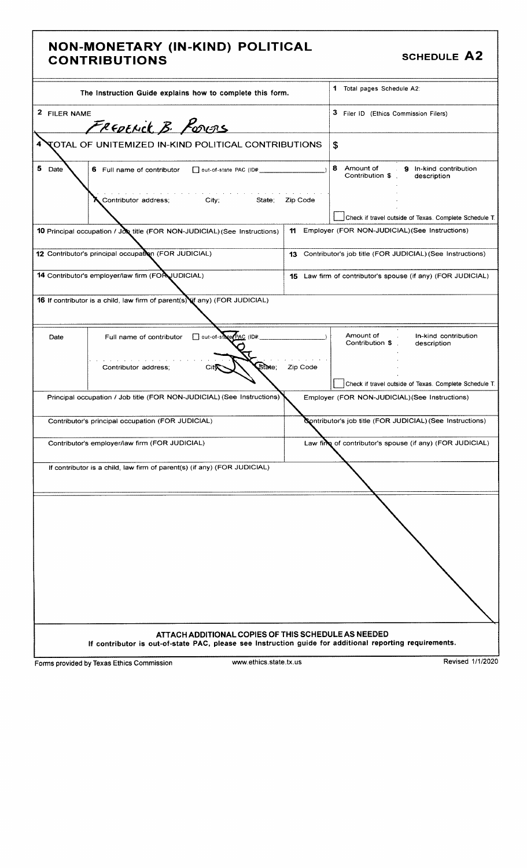### NON- MONETARY (IN- KIND) POLITICAL NON-MONETAINT (IN-NIND) TOLITIONE<br>CONTRIBUTIONS SCHEDULE A2

|              | The Instruction Guide explains how to complete this form.                                                                                                      |          | 1 Total pages Schedule A2:                                              |
|--------------|----------------------------------------------------------------------------------------------------------------------------------------------------------------|----------|-------------------------------------------------------------------------|
| 2 FILER NAME |                                                                                                                                                                |          | 3 Filer ID (Ethics Commission Filers)                                   |
|              | FREDENick B. PORES                                                                                                                                             |          |                                                                         |
| 4            | <b>TOTAL OF UNITEMIZED IN-KIND POLITICAL CONTRIBUTIONS</b>                                                                                                     |          | \$                                                                      |
| 5 Date       | 6 Full name of contributor<br>out-of-state PAC (ID#                                                                                                            |          | 8 Amount of<br>9 In-kind contribution<br>Contribution \$<br>description |
|              | Contributor address:<br>City; State;                                                                                                                           | Zip Code | Check if travel outside of Texas. Complete Schedule T.                  |
|              | 10 Principal occupation / Jox title (FOR NON-JUDICIAL) (See Instructions)                                                                                      | 11       | Employer (FOR NON-JUDICIAL) (See Instructions)                          |
|              | 12 Contributor's principal occupation (FOR JUDICIAL)                                                                                                           | 13       | Contributor's job title (FOR JUDICIAL) (See Instructions)               |
|              | 14 Contributor's employer/law firm (FOR UDICIAL)                                                                                                               |          | <b>15</b> Law firm of contributor's spouse (if any) (FOR JUDICIAL)      |
|              | 16 If contributor is a child, law firm of parent(s) (if any) (FOR JUDICIAL)                                                                                    |          |                                                                         |
| Date         | out-of-state (PAC (ID#:<br>Full name of contributor                                                                                                            |          | Amount of<br>In-kind contribution<br>Contribution \$<br>description     |
|              | St∂ne∶<br>Contributor address;                                                                                                                                 | Zip Code | Check if travel outside of Texas. Complete Schedule T.                  |
|              | Principal occupation / Job title (FOR NON-JUDICIAL) (See Instructions)                                                                                         |          | Employer (FOR NON-JUDICIAL) (See Instructions)                          |
|              | Contributor's principal occupation (FOR JUDICIAL)                                                                                                              |          | Contributor's job title (FOR JUDICIAL) (See Instructions)               |
|              | Contributor's employer/law firm (FOR JUDICIAL)                                                                                                                 |          | Law find of contributor's spouse (if any) (FOR JUDICIAL)                |
|              | If contributor is a child, law firm of parent(s) (if any) (FOR JUDICIAL)                                                                                       |          |                                                                         |
|              |                                                                                                                                                                |          |                                                                         |
|              |                                                                                                                                                                |          |                                                                         |
|              |                                                                                                                                                                |          |                                                                         |
|              |                                                                                                                                                                |          |                                                                         |
|              |                                                                                                                                                                |          |                                                                         |
|              | ATTACH ADDITIONAL COPIES OF THIS SCHEDULE AS NEEDED<br>If contributor is out-of-state PAC, please see Instruction guide for additional reporting requirements. |          |                                                                         |
|              | www.ethics.state.tx.us<br>Forms provided by Texas Ethics Commission                                                                                            |          | Revised 1/1/2020                                                        |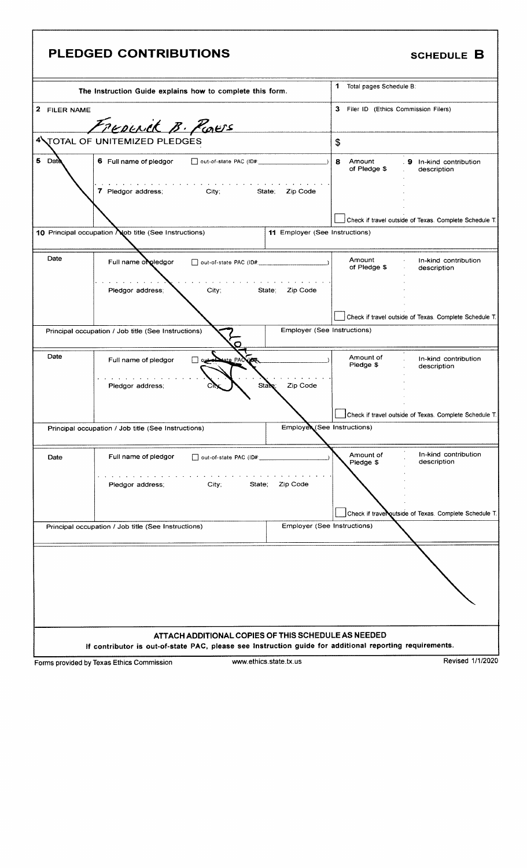# PLEDGED CONTRIBUTIONS SCHEDULE B

|              | The Instruction Guide explains how to complete this form.                                                                                                      |                                | 1.<br>Total pages Schedule B:             |                                                        |
|--------------|----------------------------------------------------------------------------------------------------------------------------------------------------------------|--------------------------------|-------------------------------------------|--------------------------------------------------------|
| 2 FILER NAME |                                                                                                                                                                |                                | 3.<br>Filer ID (Ethics Commission Filers) |                                                        |
|              | Freperick B. Pores                                                                                                                                             |                                |                                           |                                                        |
|              | 4 TOTAL OF UNITEMIZED PLEDGES                                                                                                                                  |                                | \$                                        |                                                        |
| 5 Date       | 6 Full name of pledgor<br>out-of-state PAC (ID#:                                                                                                               |                                | 8<br>Amount<br>of Pledge \$               | . 9 In-kind contribution<br>description                |
|              | 7 Pledgor address;<br>City;                                                                                                                                    | State;<br>Zip Code             |                                           |                                                        |
|              |                                                                                                                                                                |                                |                                           | Check if travel outside of Texas. Complete Schedule T. |
|              | 10 Principal occupation Nob title (See Instructions)                                                                                                           | 11 Employer (See Instructions) |                                           |                                                        |
| Date         | Full name of pledgor<br>out-of-state PAC (ID#:                                                                                                                 |                                | Amount<br>of Pledge \$                    | In-kind contribution<br>description                    |
|              | Pledgor address;<br>City:                                                                                                                                      | State;<br>Zip Code             |                                           |                                                        |
|              |                                                                                                                                                                |                                |                                           | Check if travel outside of Texas. Complete Schedule T. |
|              | Principal occupation / Job title (See Instructions)                                                                                                            | Employer (See Instructions)    |                                           |                                                        |
| Date         | سه ⊡<br>Full name of pledgor<br><b>Mate PAC</b>                                                                                                                |                                | Amount of<br>Pledge \$                    | In-kind contribution<br>description                    |
|              | Pledgor address;                                                                                                                                               | Zip Code<br>Stale              |                                           |                                                        |
|              |                                                                                                                                                                |                                |                                           | Check if travel outside of Texas. Complete Schedule T. |
|              | Principal occupation / Job title (See Instructions)                                                                                                            | Employer (See Instructions)    |                                           |                                                        |
| Date         | Full name of pledgor<br>out-of-state PAC (ID#:                                                                                                                 |                                | Amount of<br>Pledge \$                    | In-kind contribution<br>description                    |
|              | State;<br>Pledgor address;<br>City;                                                                                                                            | Zip Code                       |                                           |                                                        |
|              |                                                                                                                                                                |                                |                                           | Check if trave Qutside of Texas. Complete Schedule T.  |
|              | Principal occupation / Job title (See Instructions)                                                                                                            | Employer (See Instructions)    |                                           |                                                        |
|              |                                                                                                                                                                |                                |                                           |                                                        |
|              | ATTACH ADDITIONAL COPIES OF THIS SCHEDULE AS NEEDED<br>If contributor is out-of-state PAC, please see Instruction guide for additional reporting requirements. |                                |                                           |                                                        |
|              | Forms provided by Texas Ethics Commission                                                                                                                      | www.ethics.state.tx.us         |                                           | Revised 1/1/2020                                       |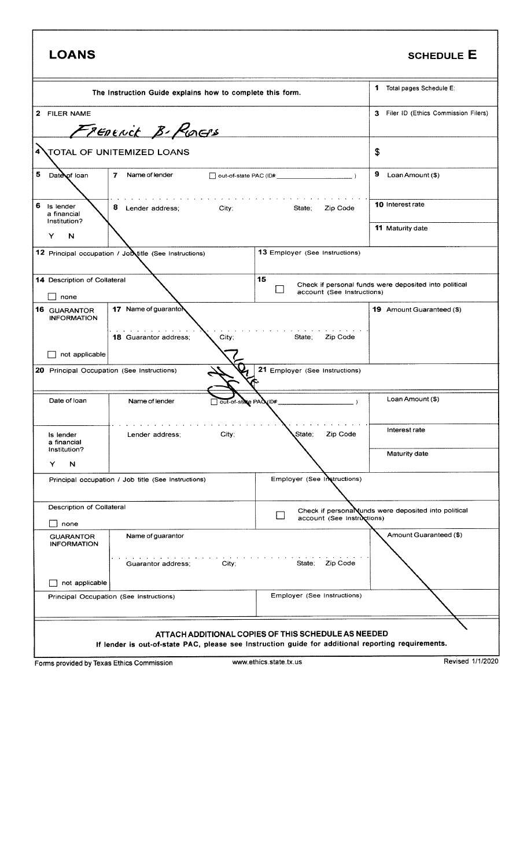| <b>LOANS</b>                                                 |                                                                                                    |                                                                               | <b>SCHEDULE E</b>                                     |
|--------------------------------------------------------------|----------------------------------------------------------------------------------------------------|-------------------------------------------------------------------------------|-------------------------------------------------------|
|                                                              | The Instruction Guide explains how to complete this form.                                          |                                                                               | 1 Total pages Schedule E:                             |
| 2 FILER NAME                                                 |                                                                                                    |                                                                               | 3 Filer ID (Ethics Commission Filers)                 |
| 4`                                                           | FREDENCK B. ROCES<br><b>TOTAL OF UNITEMIZED LOANS</b>                                              |                                                                               | \$                                                    |
| 5<br>Dateof loan                                             | Name of lender<br>$\overline{7}$                                                                   |                                                                               | 9<br>Loan Amount (\$)                                 |
| 6<br>Is lender<br>a financial<br>Institution?                | 8<br><b>City</b> :<br>Lender address;                                                              | Zip Code<br>State;                                                            | 10 Interest rate                                      |
| N<br>Y                                                       |                                                                                                    |                                                                               | 11 Maturity date                                      |
|                                                              | 12 Principal occupation / Job title (See Instructions)                                             | <b>13 Employer (See Instructions)</b>                                         |                                                       |
| 14 Description of Collateral<br>none                         |                                                                                                    | 15<br>account (See Instructions)                                              | Check if personal funds were deposited into political |
| 16 GUARANTOR<br><b>INFORMATION</b>                           | 17 Name of guaranton                                                                               |                                                                               | 19 Amount Guaranteed (\$)                             |
| not applicable<br>20 Principal Occupation (See Instructions) |                                                                                                    | 21 Employer (See Instructions)                                                |                                                       |
| Date of loan                                                 | Name of lender                                                                                     | out-of-state PAQ ID#                                                          | Loan Amount (\$)                                      |
| Is lender<br>a financial                                     | City;<br>Lender address:                                                                           | State;<br>Zip Code                                                            | Interest rate                                         |
| Institution?<br>$\mathsf{N}$<br>Y                            |                                                                                                    |                                                                               | Maturity date                                         |
|                                                              | Principal occupation / Job title (See Instructions)                                                | Employer (See Instructions)                                                   |                                                       |
| Description of Collateral                                    |                                                                                                    |                                                                               | Check if personal funds were deposited into political |
| none                                                         |                                                                                                    | account (See Instructions)                                                    |                                                       |
| <b>GUARANTOR</b><br><b>INFORMATION</b>                       | Name of guarantor<br>Guarantor address;<br>City;                                                   | Zip Code<br>State;                                                            | Amount Guaranteed (\$)                                |
| not applicable                                               |                                                                                                    |                                                                               |                                                       |
|                                                              | Principal Occupation (See Instructions)                                                            | Employer (See Instructions)                                                   |                                                       |
| Forms provided by Texas Ethics Commission                    | If lender is out-of-state PAC, please see Instruction guide for additional reporting requirements. | ATTACH ADDITIONAL COPIES OF THIS SCHEDULE AS NEEDED<br>www.ethics.state.tx.us | Revised 1/1/2020                                      |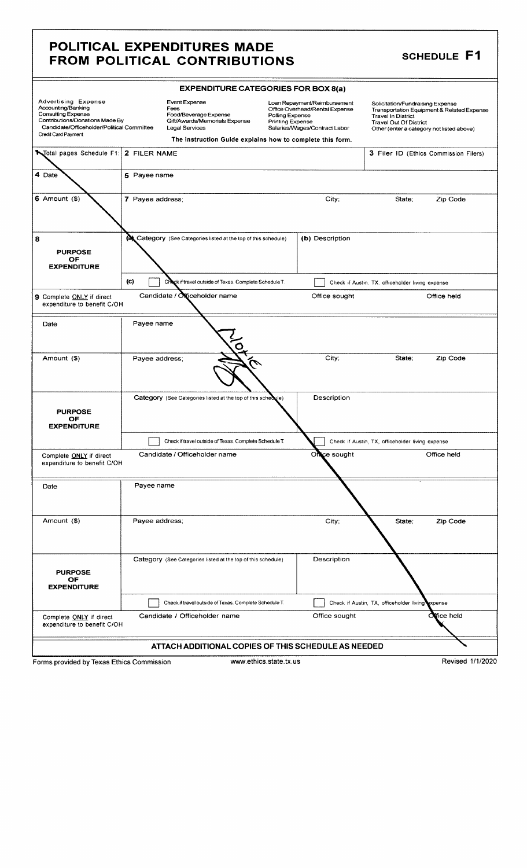# POLITICAL EXPENDITURES MADE FROM POLITICAL CONTRIBUTIONS SCHEDULE F1

|                                                                                                                                                                |                     | <b>EXPENDITURE CATEGORIES FOR BOX 8(a)</b>                                                               |                                                                                                                                               |                 |                                                                                                                                                                                           |                                       |  |
|----------------------------------------------------------------------------------------------------------------------------------------------------------------|---------------------|----------------------------------------------------------------------------------------------------------|-----------------------------------------------------------------------------------------------------------------------------------------------|-----------------|-------------------------------------------------------------------------------------------------------------------------------------------------------------------------------------------|---------------------------------------|--|
| <b>Advertising Expense</b><br>Accounting/Banking<br><b>Consulting Expense</b><br>Contributions/Donations Made By<br>Candidate/Officeholder/Political Committee |                     | <b>Event Expense</b><br>Fees<br>Food/Beverage Expense<br>Gift/Awards/Memorials Expense<br>Legal Services | Loan Repayment/Reimbursement<br>Office Overhead/Rental Expense<br>Polling Expense<br><b>Printing Expense</b><br>Salaries/Wages/Contract Labor |                 | Solicitation/Fundraising Expense<br>Transportation Equipment & Related Expense<br><b>Travel In District</b><br><b>Travel Out Of District</b><br>Other (enter a category not listed above) |                                       |  |
| Credit Card Payment                                                                                                                                            |                     | The Instruction Guide explains how to complete this form.                                                |                                                                                                                                               |                 |                                                                                                                                                                                           |                                       |  |
| Total pages Schedule F1:                                                                                                                                       | 2 FILER NAME        |                                                                                                          |                                                                                                                                               |                 |                                                                                                                                                                                           | 3 Filer ID (Ethics Commission Filers) |  |
| 4 Date                                                                                                                                                         | 5 Payee name        |                                                                                                          |                                                                                                                                               |                 |                                                                                                                                                                                           |                                       |  |
| $6$ Amount $(9)$                                                                                                                                               | 7 Payee address;    |                                                                                                          |                                                                                                                                               | City;           | State;                                                                                                                                                                                    | Zip Code                              |  |
| 8<br><b>PURPOSE</b><br>OF<br><b>EXPENDITURE</b>                                                                                                                | $\omega$            | Category (See Categories listed at the top of this schedule)                                             |                                                                                                                                               | (b) Description |                                                                                                                                                                                           |                                       |  |
|                                                                                                                                                                | $\langle c \rangle$ | Check if travel outside of Texas. Complete Schedule T.                                                   |                                                                                                                                               |                 | Check if Austin, TX, officeholder living expense                                                                                                                                          |                                       |  |
| 9 Complete ONLY if direct<br>expenditure to benefit C/OH                                                                                                       |                     | Candidate / Officeholder name                                                                            |                                                                                                                                               | Office sought   |                                                                                                                                                                                           | Office held                           |  |
| Date                                                                                                                                                           | Payee name          | Ō                                                                                                        |                                                                                                                                               |                 |                                                                                                                                                                                           |                                       |  |
| Amount (\$)                                                                                                                                                    | Payee address;      |                                                                                                          |                                                                                                                                               | City;           | State;                                                                                                                                                                                    | Zip Code                              |  |
| <b>PURPOSE</b><br>OF<br><b>EXPENDITURE</b>                                                                                                                     |                     | Category (See Categories listed at the top of this schedule)                                             |                                                                                                                                               | Description     |                                                                                                                                                                                           |                                       |  |
|                                                                                                                                                                |                     | Check if travel outside of Texas. Complete Schedule T.                                                   |                                                                                                                                               |                 | Check if Austin, TX, officeholder living expense                                                                                                                                          |                                       |  |
| Complete ONLY if direct<br>expenditure to benefit C/OH                                                                                                         |                     | Candidate / Officeholder name                                                                            |                                                                                                                                               | Оñ<br>ce sought |                                                                                                                                                                                           | Office held                           |  |
| Date                                                                                                                                                           | Payee name          |                                                                                                          |                                                                                                                                               |                 |                                                                                                                                                                                           |                                       |  |
| Amount (\$)                                                                                                                                                    | Payee address;      |                                                                                                          |                                                                                                                                               | City;           | State;                                                                                                                                                                                    | Zip Code                              |  |
| <b>PURPOSE</b><br>OF.<br><b>EXPENDITURE</b>                                                                                                                    |                     | Category (See Categories listed at the top of this schedule)                                             |                                                                                                                                               | Description     |                                                                                                                                                                                           |                                       |  |
|                                                                                                                                                                |                     | Check if travel outside of Texas. Complete Schedule T.                                                   |                                                                                                                                               |                 | Check if Austin, TX, officeholder living                                                                                                                                                  | expense                               |  |
| Complete ONLY if direct<br>expenditure to benefit C/OH                                                                                                         |                     | Candidate / Officeholder name                                                                            |                                                                                                                                               | Office sought   |                                                                                                                                                                                           | Office held                           |  |
|                                                                                                                                                                |                     | ATTACH ADDITIONAL COPIES OF THIS SCHEDULE AS NEEDED                                                      |                                                                                                                                               |                 |                                                                                                                                                                                           |                                       |  |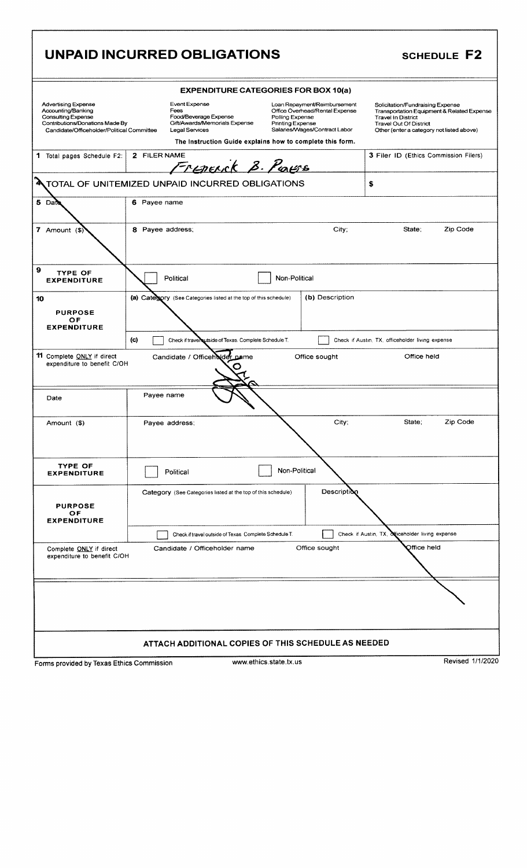# UNPAID INCURRED OBLIGATIONS SCHEDULE F2

and the contract of the contract of the contract of the contract of the contract of the contract of the contra<br>The contract of the contract of the contract of the contract of the contract of the contract of the contract o

|                                                                                                                                                                |                                                                                                                                                  | <b>EXPENDITURE CATEGORIES FOR BOX 10(a)</b>                                                                                                   |                                                                                                                                                                                           |
|----------------------------------------------------------------------------------------------------------------------------------------------------------------|--------------------------------------------------------------------------------------------------------------------------------------------------|-----------------------------------------------------------------------------------------------------------------------------------------------|-------------------------------------------------------------------------------------------------------------------------------------------------------------------------------------------|
| <b>Advertising Expense</b><br>Accounting/Banking<br><b>Consulting Expense</b><br>Contributions/Donations Made By<br>Candidate/Officeholder/Political Committee | Event Expense<br>Fees<br>Food/Beverage Expense<br>Gift/Awards/Memorials Expense<br><b>Legal Services</b>                                         | Loan Repayment/Reimbursement<br>Office Overhead/Rental Expense<br>Polling Expense<br><b>Printing Expense</b><br>Salaries/Wages/Contract Labor | Solicitation/Fundraising Expense<br>Transportation Equipment & Related Expense<br><b>Travel In District</b><br><b>Travel Out Of District</b><br>Other (enter a category not listed above) |
|                                                                                                                                                                |                                                                                                                                                  | The Instruction Guide explains how to complete this form.                                                                                     |                                                                                                                                                                                           |
| 1 Total pages Schedule F2:                                                                                                                                     | 2 FILER NAME<br>Freperick B. Peress                                                                                                              |                                                                                                                                               | 3 Filer ID (Ethics Commission Filers)                                                                                                                                                     |
|                                                                                                                                                                | <b>A TOTAL OF UNITEMIZED UNPAID INCURRED OBLIGATIONS</b>                                                                                         |                                                                                                                                               | \$                                                                                                                                                                                        |
| $5$ Date                                                                                                                                                       | 6 Payee name                                                                                                                                     |                                                                                                                                               |                                                                                                                                                                                           |
| 7 Amount $($ )                                                                                                                                                 | 8 Payee address;                                                                                                                                 | City;                                                                                                                                         | Zip Code<br>State;                                                                                                                                                                        |
| 9<br><b>TYPE OF</b><br><b>EXPENDITURE</b>                                                                                                                      | Political                                                                                                                                        | Non-Political                                                                                                                                 |                                                                                                                                                                                           |
| 10<br><b>PURPOSE</b><br>ОF<br><b>EXPENDITURE</b>                                                                                                               | (a) Category (See Categories listed at the top of this schedule)<br>$\left( c \right)$<br>Check if travel autside of Texas. Complete Schedule T. | (b) Description                                                                                                                               | Check if Austin, TX, officeholder living expense                                                                                                                                          |
| 11 Complete ONLY if direct<br>expenditure to benefit C/OH                                                                                                      | Candidate / Officeholder_name                                                                                                                    | Office sought                                                                                                                                 | Office held                                                                                                                                                                               |
| Date                                                                                                                                                           | Payee name                                                                                                                                       |                                                                                                                                               |                                                                                                                                                                                           |
| Amount (\$)                                                                                                                                                    | Payee address,                                                                                                                                   | City;                                                                                                                                         | Zip Code<br>State;                                                                                                                                                                        |
| <b>TYPE OF</b><br>EXPENDIIURE                                                                                                                                  | Political                                                                                                                                        | Non-Political                                                                                                                                 |                                                                                                                                                                                           |
| <b>PURPOSE</b><br>ОF<br><b>EXPENDITURE</b>                                                                                                                     | Category (See Categories listed at the top of this schedule)                                                                                     | Description                                                                                                                                   |                                                                                                                                                                                           |
|                                                                                                                                                                | Check if travel outside of Texas. Complete Schedule T.                                                                                           |                                                                                                                                               | Check if Austin, TX, officeholder living expense                                                                                                                                          |
| Complete ONLY if direct<br>expenditure to benefit C/OH                                                                                                         | Candidate / Officeholder name                                                                                                                    | Office sought                                                                                                                                 | Office held                                                                                                                                                                               |
|                                                                                                                                                                |                                                                                                                                                  |                                                                                                                                               |                                                                                                                                                                                           |
|                                                                                                                                                                |                                                                                                                                                  | ATTACH ADDITIONAL COPIES OF THIS SCHEDULE AS NEEDED                                                                                           |                                                                                                                                                                                           |
| Forms provided by Texas Ethics Commission                                                                                                                      |                                                                                                                                                  | www.ethics.state.tx.us                                                                                                                        | Revised 1/1/2020                                                                                                                                                                          |

Forms provided by Texas Ethics Commission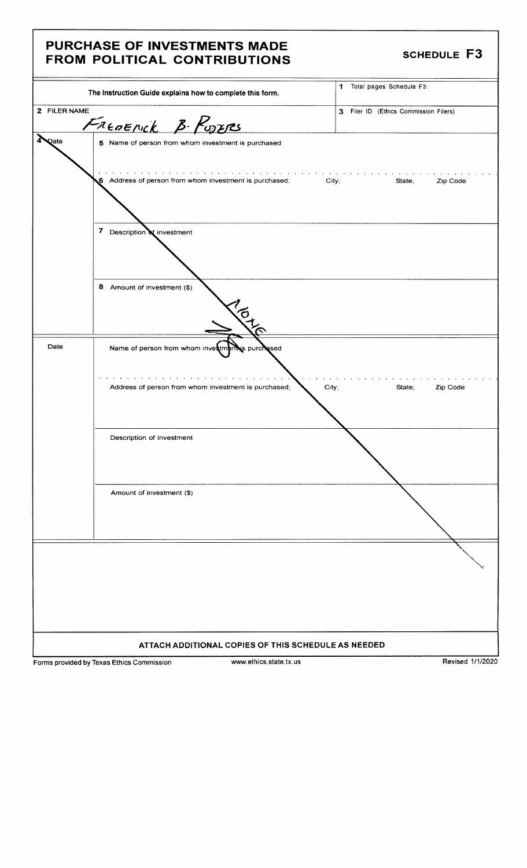# PURCHASE OF INVESTMENTS MADE

|              | FROM POLITICAL CONTRIBUTIONS                                                                                                       | <b>SCHEDULE F3</b>                       |
|--------------|------------------------------------------------------------------------------------------------------------------------------------|------------------------------------------|
|              | The Instruction Guide explains how to complete this form.                                                                          | 1 Total pages Schedule F3:               |
| 2 FILER NAME | FREDERICK B. PORPOS                                                                                                                | Filer ID (Ethics Commission Filers)<br>3 |
| Qate         | 5 Name of person from whom investment is purchased                                                                                 |                                          |
|              | <b>Contract Contract Contract</b><br>the contract of the contract of the<br>6 Address of person from whom investment is purchased; | City;<br>Zip Code<br>State;              |
|              | 7 Description tinvestment                                                                                                          |                                          |
|              | 8 Amount of investment (\$)<br><b>ICLE</b>                                                                                         |                                          |
| Date         | Name of person from whom investment<br>is purchesed                                                                                |                                          |
|              | Address of person from whom investment is purchased;                                                                               | City;<br>Zip Code<br>State;              |
|              | Description of investment                                                                                                          |                                          |
|              | Amount of investment (\$)                                                                                                          |                                          |
|              |                                                                                                                                    |                                          |
|              |                                                                                                                                    |                                          |
|              | ATTACH ADDITIONAL COPIES OF THIS SCHEDULE AS NEEDED                                                                                |                                          |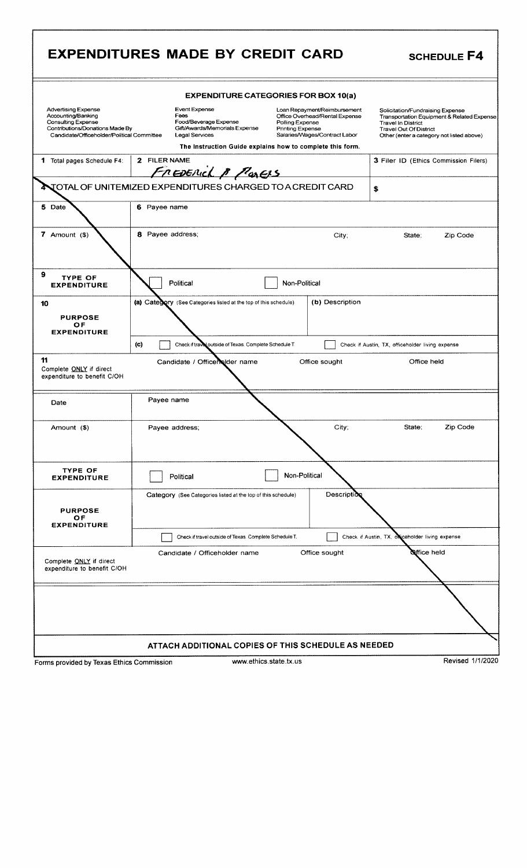|                                                                                                                                                                |                                                                                                                 | <b>EXPENDITURE CATEGORIES FOR BOX 10(a)</b>                                                                                                                                                                |                                                                                                                                                                                    |
|----------------------------------------------------------------------------------------------------------------------------------------------------------------|-----------------------------------------------------------------------------------------------------------------|------------------------------------------------------------------------------------------------------------------------------------------------------------------------------------------------------------|------------------------------------------------------------------------------------------------------------------------------------------------------------------------------------|
| <b>Advertising Expense</b><br>Accounting/Banking<br><b>Consulting Expense</b><br>Contributions/Donations Made By<br>Candidate/Officeholder/Political Committee | <b>Event Expense</b><br>Fees<br>Food/Beverage Expense<br>Gift/Awards/Memorials Expense<br><b>Legal Services</b> | Loan Repayment/Reimbursement<br>Office Overhead/Rental Expense<br>Polling Expense<br><b>Printing Expense</b><br>Salaries/Wages/Contract Labor<br>The Instruction Guide explains how to complete this form. | Solicitation/Fundraising Expense<br>Transportation Equipment & Related Expense<br>Travel In District<br><b>Travel Out Of District</b><br>Other (enter a category not listed above) |
| 1 Total pages Schedule F4:                                                                                                                                     | 2 FILER NAME                                                                                                    |                                                                                                                                                                                                            | 3 Filer ID (Ethics Commission Filers)                                                                                                                                              |
|                                                                                                                                                                | FREDERICK & PORCIS                                                                                              |                                                                                                                                                                                                            |                                                                                                                                                                                    |
|                                                                                                                                                                | <b>A TOTAL OF UNITEMIZED EXPENDITURES CHARGED TO A CREDIT CARD</b>                                              |                                                                                                                                                                                                            | \$                                                                                                                                                                                 |
| 5 Date                                                                                                                                                         | 6 Payee name                                                                                                    |                                                                                                                                                                                                            |                                                                                                                                                                                    |
| 7 Amount $($)$                                                                                                                                                 | 8 Payee address;                                                                                                | City;                                                                                                                                                                                                      | Zip Code<br>State:                                                                                                                                                                 |
| 9<br><b>TYPE OF</b><br><b>EXPENDITURE</b>                                                                                                                      | Political                                                                                                       | Non-Political                                                                                                                                                                                              |                                                                                                                                                                                    |
| 10<br><b>PURPOSE</b><br>ОF<br><b>EXPENDITURE</b>                                                                                                               | (a) Category (See Categories listed at the top of this schedule)                                                | (b) Description                                                                                                                                                                                            |                                                                                                                                                                                    |
|                                                                                                                                                                | (c)<br>Check if travel outside of Texas. Complete Schedule T.                                                   |                                                                                                                                                                                                            | Check if Austin, TX, officeholder living expense                                                                                                                                   |
| 11<br>Complete ONLY if direct<br>expenditure to benefit C/OH                                                                                                   | Candidate / Officenelder name                                                                                   | Office sought                                                                                                                                                                                              | Office held                                                                                                                                                                        |
| Date                                                                                                                                                           | Payee name                                                                                                      |                                                                                                                                                                                                            |                                                                                                                                                                                    |
| Amount (\$)                                                                                                                                                    | Payee address,                                                                                                  | City;                                                                                                                                                                                                      | State;<br>Zip Code                                                                                                                                                                 |
| <b>TYPE OF</b><br><b>EXPENDITURE</b>                                                                                                                           | Political                                                                                                       | Non-Political                                                                                                                                                                                              |                                                                                                                                                                                    |
| <b>PURPOSE</b><br>ОF                                                                                                                                           | Category (See Categories listed at the top of this schedule)                                                    | <b>Description</b>                                                                                                                                                                                         |                                                                                                                                                                                    |
| <b>EXPENDITURE</b>                                                                                                                                             | Check if travel outside of Texas. Complete Schedule T.                                                          |                                                                                                                                                                                                            | Check if Austin, TX, on ceholder living expense                                                                                                                                    |
|                                                                                                                                                                |                                                                                                                 |                                                                                                                                                                                                            |                                                                                                                                                                                    |
|                                                                                                                                                                | Candidate / Officeholder name                                                                                   | Office sought                                                                                                                                                                                              | <b>N</b> ffice held                                                                                                                                                                |
| Complete ONLY if direct<br>expenditure to benefit C/OH                                                                                                         |                                                                                                                 |                                                                                                                                                                                                            |                                                                                                                                                                                    |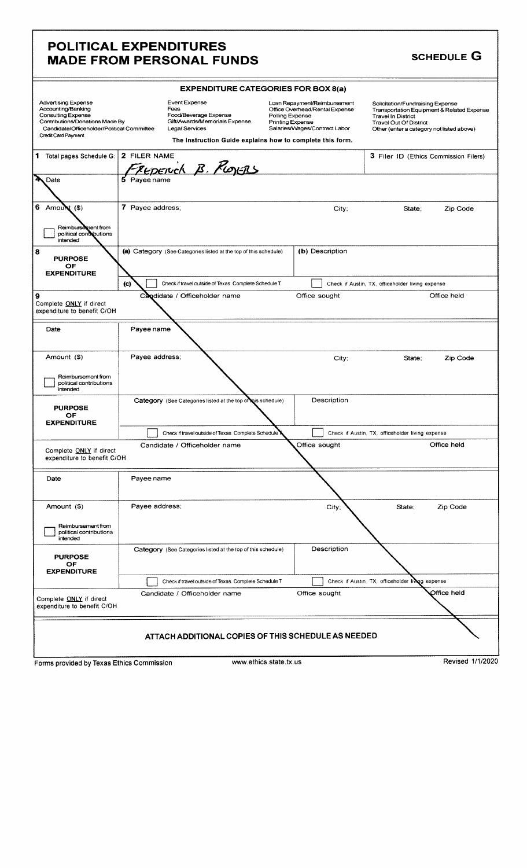## POLITICAL EXPENDITURES MADE FROM PERSONAL FUNDS<br>MADE FROM PERSONAL FUNDS

|                                                                                                                                                                                       |                      |                                                                                                  | <b>EXPENDITURE CATEGORIES FOR BOX 8(a)</b>                       |                                                                                                                                                                                                            |                                                                                                                                             |                                            |
|---------------------------------------------------------------------------------------------------------------------------------------------------------------------------------------|----------------------|--------------------------------------------------------------------------------------------------|------------------------------------------------------------------|------------------------------------------------------------------------------------------------------------------------------------------------------------------------------------------------------------|---------------------------------------------------------------------------------------------------------------------------------------------|--------------------------------------------|
| <b>Advertising Expense</b><br>Accounting/Banking<br><b>Consulting Expense</b><br>Contributions/Donations Made By<br>Candidate/Officeholder/Political Committee<br>Credit Card Payment | Fees                 | <b>Event Expense</b><br>Food/Beverage Expense<br>Gift/Awards/Memorials Expense<br>Legal Services |                                                                  | Loan Repayment/Reimbursement<br>Office Overhead/Rental Expense<br>Polling Expense<br><b>Printing Expense</b><br>Salaries/Wages/Contract Labor<br>The Instruction Guide explains how to complete this form. | Solicitation/Fundraising Expense<br><b>Travel In District</b><br><b>Travel Out Of District</b><br>Other (enter a category not listed above) | Transportation Equipment & Related Expense |
|                                                                                                                                                                                       |                      |                                                                                                  |                                                                  |                                                                                                                                                                                                            |                                                                                                                                             |                                            |
| 1 Total pages Schedule G:                                                                                                                                                             | 2 FILER NAME         |                                                                                                  |                                                                  |                                                                                                                                                                                                            | 3 Filer ID (Ethics Commission Filers)                                                                                                       |                                            |
|                                                                                                                                                                                       |                      |                                                                                                  |                                                                  |                                                                                                                                                                                                            |                                                                                                                                             |                                            |
| ъ<br>Date                                                                                                                                                                             | Freperick B. Riggers |                                                                                                  |                                                                  |                                                                                                                                                                                                            |                                                                                                                                             |                                            |
| 6 Amount $(\$)$<br>Reimbursement from<br>political contributions<br>intended                                                                                                          | 7 Payee address:     |                                                                                                  |                                                                  | City;                                                                                                                                                                                                      | State;                                                                                                                                      | Zip Code                                   |
| 8<br><b>PURPOSE</b><br>OF                                                                                                                                                             |                      |                                                                                                  | (a) Category (See Categories listed at the top of this schedule) | (b) Description                                                                                                                                                                                            |                                                                                                                                             |                                            |
| <b>EXPENDITURE</b>                                                                                                                                                                    | (c)                  | Check if travel outside of Texas Complete Schedule T.                                            |                                                                  |                                                                                                                                                                                                            | Check if Austin, TX, officeholder living expense                                                                                            |                                            |
| $\mathbf{9}$<br>Complete ONLY if direct<br>expenditure to benefit C/OH                                                                                                                |                      | Candidate / Officeholder name                                                                    |                                                                  | Office sought                                                                                                                                                                                              |                                                                                                                                             | Office held                                |
| Date                                                                                                                                                                                  | Payee name           |                                                                                                  |                                                                  |                                                                                                                                                                                                            |                                                                                                                                             |                                            |
| Amount (\$)                                                                                                                                                                           | Payee address;       |                                                                                                  |                                                                  | City;                                                                                                                                                                                                      | State,                                                                                                                                      | Zip Code                                   |
| Reimbursement from<br>political contributions<br>intended                                                                                                                             |                      |                                                                                                  |                                                                  |                                                                                                                                                                                                            |                                                                                                                                             |                                            |
| <b>PURPOSE</b><br>OF<br><b>EXPENDITURE</b>                                                                                                                                            |                      |                                                                                                  | Category (See Categories listed at the top of bis schedule)      | Description                                                                                                                                                                                                |                                                                                                                                             |                                            |
|                                                                                                                                                                                       |                      | Check if travel outside of Texas. Complete Schedule                                              |                                                                  |                                                                                                                                                                                                            | Check if Austin, TX, officeholder living expense                                                                                            |                                            |
| Complete ONLY if direct<br>expenditure to benefit C/OH                                                                                                                                |                      | Candidate / Officeholder name                                                                    |                                                                  | Office sought                                                                                                                                                                                              |                                                                                                                                             | Office held                                |
| Date                                                                                                                                                                                  | Payee name           |                                                                                                  |                                                                  |                                                                                                                                                                                                            |                                                                                                                                             |                                            |
| Amount (\$)                                                                                                                                                                           | Payee address;       |                                                                                                  |                                                                  | City;                                                                                                                                                                                                      | State:                                                                                                                                      | Zip Code                                   |
| Reimbursement from<br>political contributions<br>intended                                                                                                                             |                      |                                                                                                  |                                                                  |                                                                                                                                                                                                            |                                                                                                                                             |                                            |
| <b>PURPOSE</b><br>OF<br><b>EXPENDITURE</b>                                                                                                                                            |                      |                                                                                                  | Category (See Categories listed at the top of this schedule)     | Description                                                                                                                                                                                                |                                                                                                                                             |                                            |
|                                                                                                                                                                                       |                      | Check if travel outside of Texas. Complete Schedule T.                                           |                                                                  |                                                                                                                                                                                                            | Check if Austin, TX, officeholder living expense                                                                                            |                                            |
| Complete ONLY if direct<br>expenditure to benefit C/OH                                                                                                                                |                      | Candidate / Officeholder name                                                                    |                                                                  | Office sought                                                                                                                                                                                              |                                                                                                                                             | Office held                                |
|                                                                                                                                                                                       |                      |                                                                                                  |                                                                  | ATTACH ADDITIONAL COPIES OF THIS SCHEDULE AS NEEDED                                                                                                                                                        |                                                                                                                                             |                                            |
| Forms provided by Texas Ethics Commission                                                                                                                                             |                      |                                                                                                  | www.ethics.state.tx.us                                           |                                                                                                                                                                                                            |                                                                                                                                             | Revised 1/1/2020                           |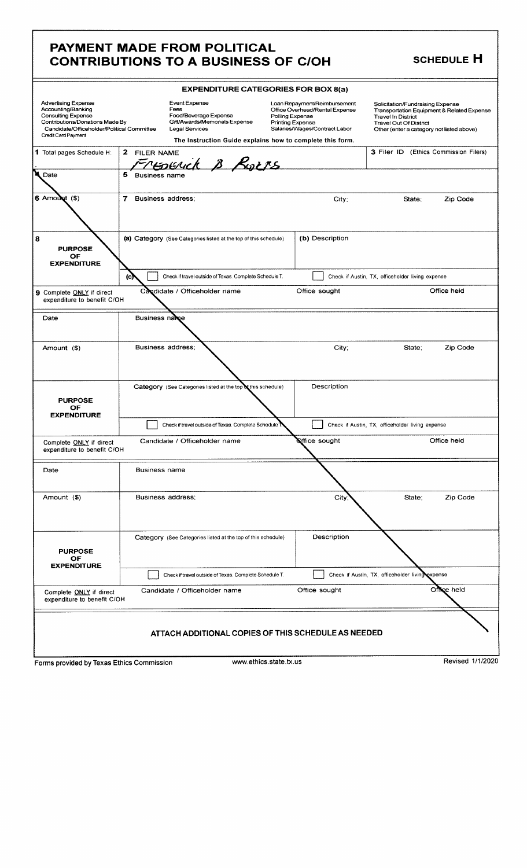### PAYMENT MADE FROM POLITICAL CONTRIBUTIONS TO A BUSINESS OF C/OH SCHEDULE H

|                                                                                                                                                                                       |                                                                  | <b>EXPENDITURE CATEGORIES FOR BOX 8(a)</b>                   |                                                                                                                                        |                                                                                                                                             |                                            |
|---------------------------------------------------------------------------------------------------------------------------------------------------------------------------------------|------------------------------------------------------------------|--------------------------------------------------------------|----------------------------------------------------------------------------------------------------------------------------------------|---------------------------------------------------------------------------------------------------------------------------------------------|--------------------------------------------|
| <b>Advertising Expense</b><br>Accounting/Banking<br><b>Consulting Expense</b><br>Contributions/Donations Made By<br>Candidate/Officeholder/Political Committee<br>Credit Card Payment | Event Expense<br>Fees<br>Food/Beverage Expense<br>Legal Services | Gift/Awards/Memorials Expense                                | Loan Repayment/Reimbursement<br>Office Overhead/Rental Expense<br>Polling Expense<br>Printing Expense<br>Salaries/Wages/Contract Labor | Solicitation/Fundraising Expense<br><b>Travel In District</b><br><b>Travel Out Of District</b><br>Other (enter a category not listed above) | Transportation Equipment & Related Expense |
|                                                                                                                                                                                       |                                                                  | The Instruction Guide explains how to complete this form.    |                                                                                                                                        |                                                                                                                                             |                                            |
| 1 Total pages Schedule H:                                                                                                                                                             | $\mathbf{2}$<br><b>FILER NAME</b>                                | FREDERICK B RUEPS                                            |                                                                                                                                        | 3 Filer ID (Ethics Commission Filers)                                                                                                       |                                            |
| Q Date                                                                                                                                                                                | 5<br><b>Business name</b>                                        |                                                              |                                                                                                                                        |                                                                                                                                             |                                            |
| $6$ Amound $(3)$                                                                                                                                                                      | 7<br>Business address;                                           |                                                              | City;                                                                                                                                  | State;                                                                                                                                      | Zip Code                                   |
| 8<br><b>PURPOSE</b><br>OF<br><b>EXPENDITURE</b>                                                                                                                                       | (a) Category (See Categories listed at the top of this schedule) |                                                              | (b) Description                                                                                                                        |                                                                                                                                             |                                            |
|                                                                                                                                                                                       | (c)                                                              | Check if travel outside of Texas. Complete Schedule T.       |                                                                                                                                        | Check if Austin, TX, officeholder living expense                                                                                            |                                            |
| 9 Complete ONLY if direct<br>expenditure to benefit C/OH                                                                                                                              | Candidate / Officeholder name                                    |                                                              | Office sought                                                                                                                          |                                                                                                                                             | Office held                                |
| Date                                                                                                                                                                                  | Business nalge                                                   |                                                              |                                                                                                                                        |                                                                                                                                             |                                            |
| Amount (\$)                                                                                                                                                                           | Business address:                                                |                                                              | City;                                                                                                                                  | State:                                                                                                                                      | Zip Code                                   |
| <b>PURPOSE</b><br>OF<br><b>EXPENDITURE</b>                                                                                                                                            |                                                                  | Category (See Categories listed at the top of this schedule) | Description                                                                                                                            |                                                                                                                                             |                                            |
|                                                                                                                                                                                       |                                                                  | Check if travel outside of Texas. Complete Schedule 1.       |                                                                                                                                        | Check if Austin, TX, officeholder living expense                                                                                            |                                            |
| Complete ONLY if direct<br>expenditure to benefit C/OH                                                                                                                                | Candidate / Officeholder name                                    |                                                              | <b>Q</b> ffice sought                                                                                                                  |                                                                                                                                             | Office held                                |
| Date                                                                                                                                                                                  | <b>Business name</b>                                             |                                                              |                                                                                                                                        |                                                                                                                                             |                                            |
| Amount (\$)                                                                                                                                                                           | Business address;                                                |                                                              | City;                                                                                                                                  | State:                                                                                                                                      | Zip Code                                   |
| <b>PURPOSE</b><br>OF                                                                                                                                                                  |                                                                  | Category (See Categories listed at the top of this schedule) | Description                                                                                                                            |                                                                                                                                             |                                            |
| <b>EXPENDITURE</b>                                                                                                                                                                    |                                                                  | Check if travel outside of Texas. Complete Schedule T.       |                                                                                                                                        | Check if Austin, TX, officeholder living                                                                                                    | expense                                    |
| Complete ONLY if direct<br>expenditure to benefit C/OH                                                                                                                                | Candidate / Officeholder name                                    |                                                              | Office sought                                                                                                                          |                                                                                                                                             | Office held                                |
|                                                                                                                                                                                       |                                                                  |                                                              | ATTACH ADDITIONAL COPIES OF THIS SCHEDULE AS NEEDED                                                                                    |                                                                                                                                             |                                            |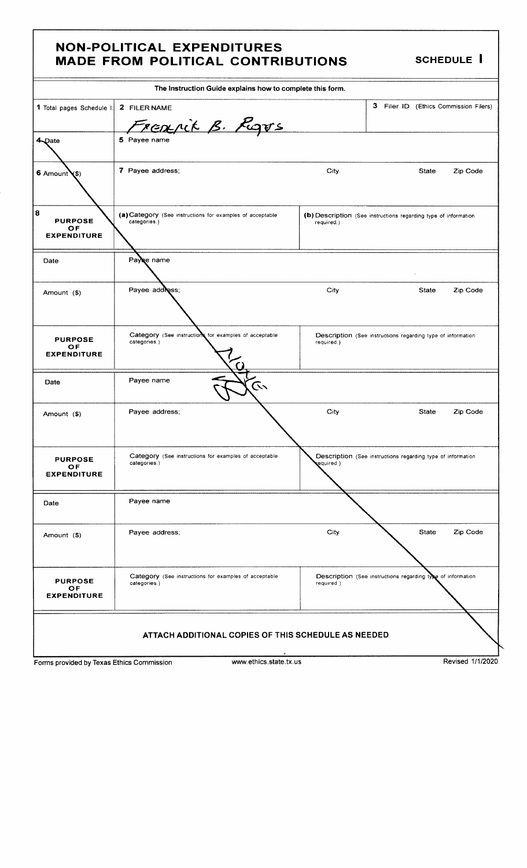### NON-POLITICAL EXPENDITURES MADE FROM POLITICAL CONTRIBUTIONS SCHEDULE I

|                                                 | The Instruction Guide explains how to complete this form.                 |            |                                                                 |                  |
|-------------------------------------------------|---------------------------------------------------------------------------|------------|-----------------------------------------------------------------|------------------|
| 1 Total pages Schedule I:                       | 2 FILER NAME<br>FREACHIK B. ROUS                                          |            | 3 Filer ID (Ethics Commission Filers)                           |                  |
| 4 Date                                          | 5 Payee name                                                              |            |                                                                 |                  |
| 6 Amount<br>(\$)                                | 7 Payee address;                                                          | City       | State                                                           | Zip Code         |
| 8<br><b>PURPOSE</b><br>OF<br><b>EXPENDITURE</b> | (a) Category (See instructions for examples of acceptable<br>categories.) | required.) | (b) Description (See instructions regarding type of information |                  |
| Date                                            | Payce name                                                                |            |                                                                 |                  |
| Amount (\$)                                     | Payee address;                                                            | City       | State                                                           | Zip Code         |
| <b>PURPOSE</b><br>OF<br><b>EXPENDITURE</b>      | Category (See instruction<br>for examples of acceptable<br>categories.)   | required.) | Description (See instructions regarding type of information     |                  |
| Date                                            | Payee name<br>$\mathcal{C}$                                               |            |                                                                 |                  |
| Amount (\$)                                     | Payee address;                                                            | City       | State                                                           | Zip Code         |
| <b>PURPOSE</b><br>ОF<br><b>EXPENDITURE</b>      | Category (See instructions for examples of acceptable<br>categories.)     | (equired.) | Description (See instructions regarding type of information     |                  |
| Date                                            | Payee name                                                                |            |                                                                 |                  |
| Amount (\$)                                     | Payee address;                                                            | City       | <b>State</b>                                                    | Zip Code         |
| <b>PURPOSE</b><br>OF<br><b>EXPENDITURE</b>      | Category (See instructions for examples of acceptable<br>categories.)     | required)  | Description (See instructions regarding type of information     |                  |
|                                                 | ATTACH ADDITIONAL COPIES OF THIS SCHEDULE AS NEEDED                       |            |                                                                 |                  |
| Forms provided by Texas Ethics Commission       | www.ethics.state.tx.us                                                    |            |                                                                 | Revised 1/1/2020 |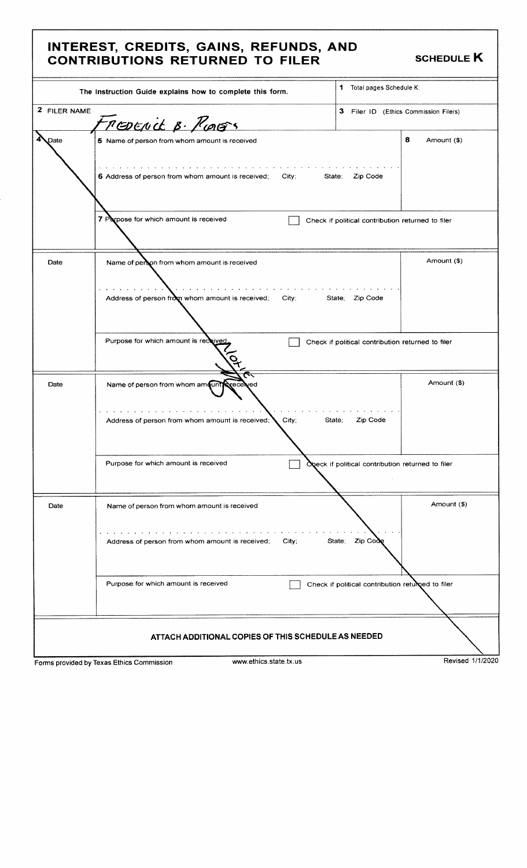## INTEREST, CREDITS, GAINS, REFUNDS, AND CONTRIBUTIONS RETURNED TO FILER

|  |  |  |  | <b>SCHEDULE K</b> |  |
|--|--|--|--|-------------------|--|
|--|--|--|--|-------------------|--|

|                                                     | The Instruction Guide explains how to complete this form.           | 1 Total pages Schedule K:                         |  |  |
|-----------------------------------------------------|---------------------------------------------------------------------|---------------------------------------------------|--|--|
| 2 FILER NAME                                        | PEDENCE B. PLACES                                                   | 3 Filer ID (Ethics Commission Filers)             |  |  |
| 4<br>Date                                           | 5 Name of person from whom amount is received                       | 8<br>Amount (\$)                                  |  |  |
|                                                     | 6 Address of person from whom amount is received; City;<br>State:   | Zip Code                                          |  |  |
|                                                     | 7 Parpose for which amount is received                              | Check if political contribution returned to filer |  |  |
| Date                                                | Name of person from whom amount is received                         | Amount (\$)                                       |  |  |
|                                                     | Address of person from whom amount is received;<br>City:            | State; Zip Code                                   |  |  |
|                                                     | Purpose for which amount is received<br>$\widetilde{e}_{t}$         | Check if political contribution returned to filer |  |  |
| Date                                                | Name of person from whom amount execeived                           | Amount (\$)                                       |  |  |
|                                                     | Address of person from whom amount is received;<br>City;            | Zip Code<br>State;                                |  |  |
|                                                     | Purpose for which amount is received                                | Opeck if political contribution returned to filer |  |  |
| Date                                                | Name of person from whom amount is received                         | Amount (\$)                                       |  |  |
|                                                     | City;<br>Address of person from whom amount is received;            | State:<br>Zip Code                                |  |  |
|                                                     | Purpose for which amount is received                                | Check if political contribution returned to filer |  |  |
| ATTACH ADDITIONAL COPIES OF THIS SCHEDULE AS NEEDED |                                                                     |                                                   |  |  |
|                                                     | www.ethics.state.tx.us<br>Forms provided by Texas Ethics Commission | Revised 1/1/2020                                  |  |  |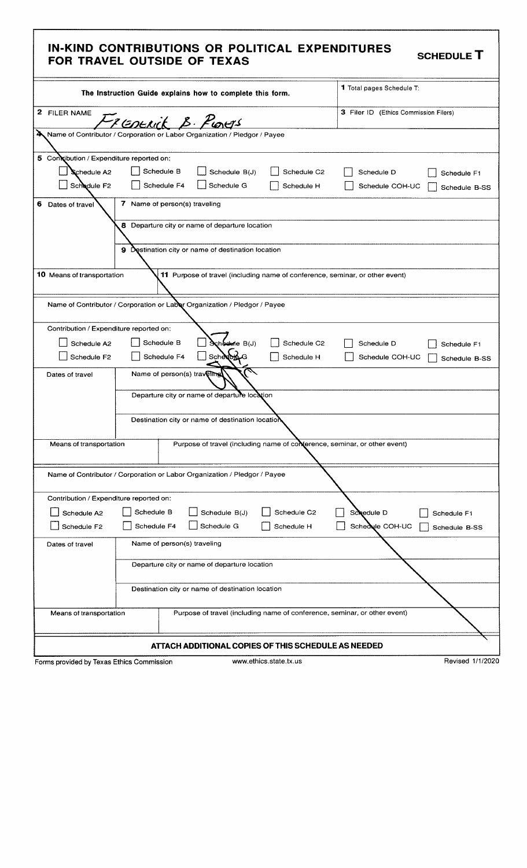| IN-KIND CONTRIBUTIONS OR POLITICAL EXPENDITURES |  |
|-------------------------------------------------|--|
| FOR TRAVEL OUTSIDE OF TEXAS                     |  |

SCHEDULE **T** 

| The Instruction Guide explains how to complete this form.                                            |                                                  |                             |                                                  | 1 Total pages Schedule T: |                                                                              |
|------------------------------------------------------------------------------------------------------|--------------------------------------------------|-----------------------------|--------------------------------------------------|---------------------------|------------------------------------------------------------------------------|
| 2 FILER NAME                                                                                         | PEDERICK B. PLACES                               |                             | 3 Filer ID (Ethics Commission Filers)            |                           |                                                                              |
| Name of Contributor / Corporation or Labor Organization / Pledgor / Payee                            |                                                  |                             |                                                  |                           |                                                                              |
| 5 Contribution / Expenditure reported on:                                                            |                                                  |                             |                                                  |                           |                                                                              |
|                                                                                                      |                                                  | Schedule B                  |                                                  |                           |                                                                              |
| Schedule A2                                                                                          |                                                  |                             | Schedule B(J)                                    | Schedule C2               | Schedule D<br>Schedule F1                                                    |
| Schedule F <sub>2</sub>                                                                              |                                                  | Schedule F4                 | Schedule G                                       | Schedule H                | Schedule COH-UC<br>Schedule B-SS                                             |
| 6 Dates of travel                                                                                    | 7 Name of person(s) traveling                    |                             |                                                  |                           |                                                                              |
|                                                                                                      |                                                  |                             | 8 Departure city or name of departure location   |                           |                                                                              |
|                                                                                                      | 9                                                |                             | Destination city or name of destination location |                           |                                                                              |
| <b>10</b> Means of transportation                                                                    |                                                  |                             |                                                  |                           | 11 Purpose of travel (including name of conference, seminar, or other event) |
| Name of Contributor / Corporation or Labor Organization / Pledgor / Payee                            |                                                  |                             |                                                  |                           |                                                                              |
|                                                                                                      |                                                  |                             |                                                  |                           |                                                                              |
| Contribution / Expenditure reported on:                                                              |                                                  |                             |                                                  |                           |                                                                              |
| Schedule A2                                                                                          |                                                  | Schedule B                  | Selerie B(J)                                     | Schedule C2               | Schedule D<br>Schedule F1                                                    |
| Schedule F <sub>2</sub>                                                                              |                                                  | Schedule F4                 | Schedu                                           | Schedule H                |                                                                              |
|                                                                                                      |                                                  |                             |                                                  |                           | Schedule COH-UC<br>Schedule B-SS                                             |
| Dates of travel                                                                                      | Name of person(s) traveling                      |                             |                                                  |                           |                                                                              |
| Departure city or name of departure location                                                         |                                                  |                             |                                                  |                           |                                                                              |
|                                                                                                      |                                                  |                             | Destination city or name of destination location |                           |                                                                              |
|                                                                                                      |                                                  |                             |                                                  |                           |                                                                              |
|                                                                                                      |                                                  |                             |                                                  |                           | Purpose of travel (including name of conterence, seminar, or other event)    |
| Means of transportation                                                                              |                                                  |                             |                                                  |                           |                                                                              |
|                                                                                                      |                                                  |                             |                                                  |                           |                                                                              |
| Name of Contributor / Corporation or Labor Organization / Pledgor / Payee                            |                                                  |                             |                                                  |                           |                                                                              |
| Contribution / Expenditure reported on:                                                              |                                                  |                             |                                                  |                           |                                                                              |
| Schedule A2                                                                                          | Schedule B                                       |                             | Schedule B(J)                                    | Schedule C <sub>2</sub>   | Schedule D<br>Schedule F1                                                    |
| Schedule F2                                                                                          | Schedule F4                                      |                             | Schedule G                                       | Schedule H                | Schedvle COH-UC<br>Schedule B-SS                                             |
| Dates of travel                                                                                      |                                                  | Name of person(s) traveling |                                                  |                           |                                                                              |
| Departure city or name of departure location                                                         |                                                  |                             |                                                  |                           |                                                                              |
|                                                                                                      |                                                  |                             |                                                  |                           |                                                                              |
|                                                                                                      | Destination city or name of destination location |                             |                                                  |                           |                                                                              |
| Purpose of travel (including name of conference, seminar, or other event)<br>Means of transportation |                                                  |                             |                                                  |                           |                                                                              |
| ATTACH ADDITIONAL COPIES OF THIS SCHEDULE AS NEEDED                                                  |                                                  |                             |                                                  |                           |                                                                              |
|                                                                                                      |                                                  |                             |                                                  |                           |                                                                              |
| www.ethics.state.tx.us<br>Revised 1/1/2020<br>Forms provided by Texas Ethics Commission              |                                                  |                             |                                                  |                           |                                                                              |